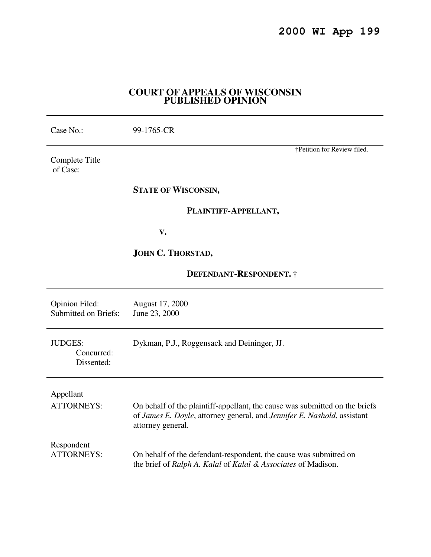## **COURT OF APPEALS OF WISCONSIN PUBLISHED OPINION**

| Case No.:                                            | 99-1765-CR                                                                                                                                                                  |
|------------------------------------------------------|-----------------------------------------------------------------------------------------------------------------------------------------------------------------------------|
| Complete Title<br>of Case:                           | †Petition for Review filed.                                                                                                                                                 |
|                                                      | <b>STATE OF WISCONSIN,</b>                                                                                                                                                  |
|                                                      | PLAINTIFF-APPELLANT,                                                                                                                                                        |
|                                                      | V.                                                                                                                                                                          |
|                                                      | JOHN C. THORSTAD,                                                                                                                                                           |
| <b>DEFENDANT-RESPONDENT. †</b>                       |                                                                                                                                                                             |
| <b>Opinion Filed:</b><br><b>Submitted on Briefs:</b> | August 17, 2000<br>June 23, 2000                                                                                                                                            |
| <b>JUDGES:</b><br>Concurred:<br>Dissented:           | Dykman, P.J., Roggensack and Deininger, JJ.                                                                                                                                 |
| Appellant<br><b>ATTORNEYS:</b>                       | On behalf of the plaintiff-appellant, the cause was submitted on the briefs<br>of James E. Doyle, attorney general, and Jennifer E. Nashold, assistant<br>attorney general. |
| Respondent<br><b>ATTORNEYS:</b>                      | On behalf of the defendant-respondent, the cause was submitted on<br>the brief of Ralph A. Kalal of Kalal & Associates of Madison.                                          |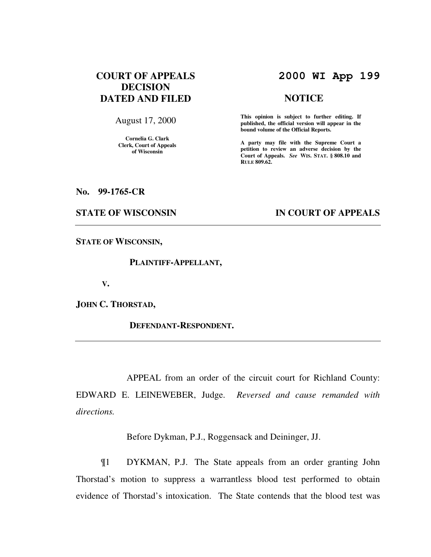# **COURT OF APPEALS DECISION DATED AND FILED**

August 17, 2000

**Cornelia G. Clark Clerk, Court of Appeals of Wisconsin** 

# **2000 WI App 199**

### **NOTICE**

**This opinion is subject to further editing. If published, the official version will appear in the bound volume of the Official Reports.**

**A party may file with the Supreme Court a petition to review an adverse decision by the Court of Appeals.** *See* **WIS. STAT. § 808.10 and RULE 809.62.** 

**No. 99-1765-CR** 

### **STATE OF WISCONSIN IN COURT OF APPEALS**

**STATE OF WISCONSIN,** 

 **PLAINTIFF-APPELLANT,** 

 **V.** 

**JOHN C. THORSTAD,** 

 **DEFENDANT-RESPONDENT.** 

 APPEAL from an order of the circuit court for Richland County: EDWARD E. LEINEWEBER, Judge. *Reversed and cause remanded with directions.*

Before Dykman, P.J., Roggensack and Deininger, JJ.

 ¶1 DYKMAN, P.J. The State appeals from an order granting John Thorstad's motion to suppress a warrantless blood test performed to obtain evidence of Thorstad's intoxication. The State contends that the blood test was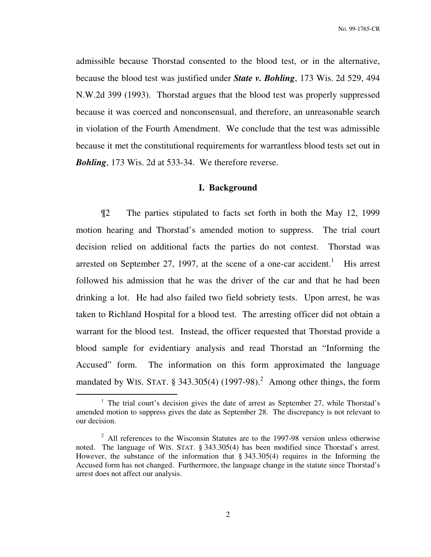admissible because Thorstad consented to the blood test, or in the alternative, because the blood test was justified under *State v. Bohling*, 173 Wis. 2d 529, 494 N.W.2d 399 (1993). Thorstad argues that the blood test was properly suppressed because it was coerced and nonconsensual, and therefore, an unreasonable search in violation of the Fourth Amendment. We conclude that the test was admissible because it met the constitutional requirements for warrantless blood tests set out in *Bohling*, 173 Wis. 2d at 533-34. We therefore reverse.

## **I. Background**

¶2 The parties stipulated to facts set forth in both the May 12, 1999 motion hearing and Thorstad's amended motion to suppress. The trial court decision relied on additional facts the parties do not contest. Thorstad was arrested on September 27, 1997, at the scene of a one-car accident.<sup>1</sup> His arrest followed his admission that he was the driver of the car and that he had been drinking a lot. He had also failed two field sobriety tests. Upon arrest, he was taken to Richland Hospital for a blood test. The arresting officer did not obtain a warrant for the blood test. Instead, the officer requested that Thorstad provide a blood sample for evidentiary analysis and read Thorstad an "Informing the Accused" form. The information on this form approximated the language mandated by WIS. STAT.  $\S 343.305(4)$  (1997-98).<sup>2</sup> Among other things, the form

 $\overline{a}$ 

<sup>&</sup>lt;sup>1</sup> The trial court's decision gives the date of arrest as September 27, while Thorstad's amended motion to suppress gives the date as September 28. The discrepancy is not relevant to our decision.

 $2$  All references to the Wisconsin Statutes are to the 1997-98 version unless otherwise noted. The language of WIS. STAT. § 343.305(4) has been modified since Thorstad's arrest. However, the substance of the information that § 343.305(4) requires in the Informing the Accused form has not changed. Furthermore, the language change in the statute since Thorstad's arrest does not affect our analysis.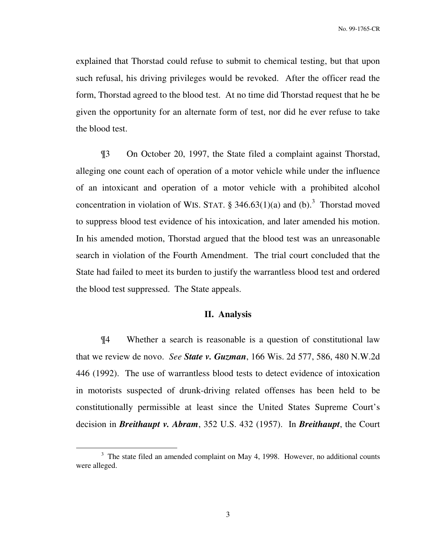explained that Thorstad could refuse to submit to chemical testing, but that upon such refusal, his driving privileges would be revoked. After the officer read the form, Thorstad agreed to the blood test. At no time did Thorstad request that he be given the opportunity for an alternate form of test, nor did he ever refuse to take the blood test.

¶3 On October 20, 1997, the State filed a complaint against Thorstad, alleging one count each of operation of a motor vehicle while under the influence of an intoxicant and operation of a motor vehicle with a prohibited alcohol concentration in violation of WIS. STAT.  $\S$  346.63(1)(a) and (b).<sup>3</sup> Thorstad moved to suppress blood test evidence of his intoxication, and later amended his motion. In his amended motion, Thorstad argued that the blood test was an unreasonable search in violation of the Fourth Amendment. The trial court concluded that the State had failed to meet its burden to justify the warrantless blood test and ordered the blood test suppressed. The State appeals.

### **II. Analysis**

 ¶4 Whether a search is reasonable is a question of constitutional law that we review de novo. *See State v. Guzman*, 166 Wis. 2d 577, 586, 480 N.W.2d 446 (1992). The use of warrantless blood tests to detect evidence of intoxication in motorists suspected of drunk-driving related offenses has been held to be constitutionally permissible at least since the United States Supreme Court's decision in *Breithaupt v. Abram*, 352 U.S. 432 (1957). In *Breithaupt*, the Court

 $\overline{a}$ 

<sup>&</sup>lt;sup>3</sup> The state filed an amended complaint on May 4, 1998. However, no additional counts were alleged.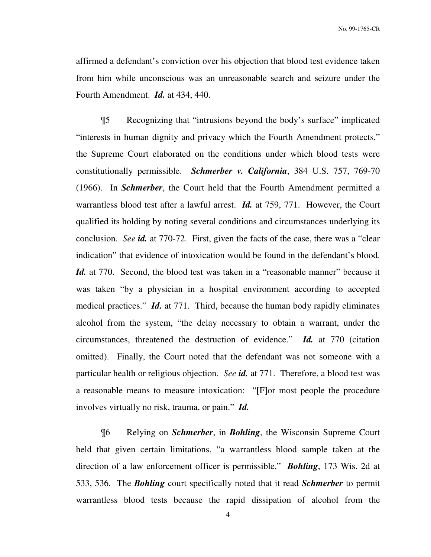No. 99-1765-CR

affirmed a defendant's conviction over his objection that blood test evidence taken from him while unconscious was an unreasonable search and seizure under the Fourth Amendment. *Id.* at 434, 440.

¶5 Recognizing that "intrusions beyond the body's surface" implicated "interests in human dignity and privacy which the Fourth Amendment protects," the Supreme Court elaborated on the conditions under which blood tests were constitutionally permissible. *Schmerber v. California*, 384 U.S. 757, 769-70 (1966). In *Schmerber*, the Court held that the Fourth Amendment permitted a warrantless blood test after a lawful arrest. *Id.* at 759, 771. However, the Court qualified its holding by noting several conditions and circumstances underlying its conclusion. *See id.* at 770-72. First, given the facts of the case, there was a "clear indication" that evidence of intoxication would be found in the defendant's blood. *Id.* at 770. Second, the blood test was taken in a "reasonable manner" because it was taken "by a physician in a hospital environment according to accepted medical practices." *Id.* at 771.Third, because the human body rapidly eliminates alcohol from the system, "the delay necessary to obtain a warrant, under the circumstances, threatened the destruction of evidence." *Id.* at 770 (citation omitted). Finally, the Court noted that the defendant was not someone with a particular health or religious objection. *See id.* at 771. Therefore, a blood test was a reasonable means to measure intoxication: "[F]or most people the procedure involves virtually no risk, trauma, or pain." *Id.*

¶6 Relying on *Schmerber*, in *Bohling*, the Wisconsin Supreme Court held that given certain limitations, "a warrantless blood sample taken at the direction of a law enforcement officer is permissible." *Bohling*, 173 Wis. 2d at 533, 536. The *Bohling* court specifically noted that it read *Schmerber* to permit warrantless blood tests because the rapid dissipation of alcohol from the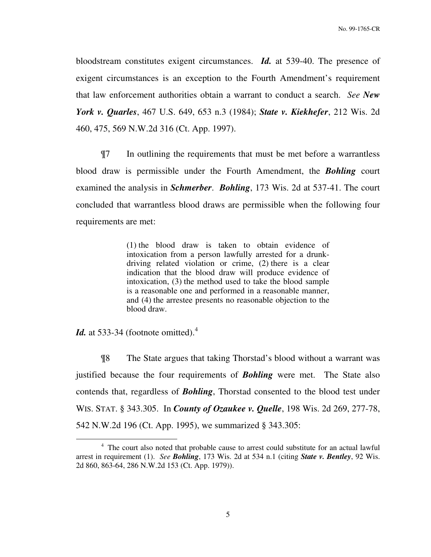bloodstream constitutes exigent circumstances. *Id.* at 539-40. The presence of exigent circumstances is an exception to the Fourth Amendment's requirement that law enforcement authorities obtain a warrant to conduct a search. *See New York v. Quarles*, 467 U.S. 649, 653 n.3 (1984); *State v. Kiekhefer*, 212 Wis. 2d 460, 475, 569 N.W.2d 316 (Ct. App. 1997).

¶7 In outlining the requirements that must be met before a warrantless blood draw is permissible under the Fourth Amendment, the *Bohling* court examined the analysis in *Schmerber*. *Bohling*, 173 Wis. 2d at 537-41. The court concluded that warrantless blood draws are permissible when the following four requirements are met:

> (1) the blood draw is taken to obtain evidence of intoxication from a person lawfully arrested for a drunkdriving related violation or crime, (2) there is a clear indication that the blood draw will produce evidence of intoxication, (3) the method used to take the blood sample is a reasonable one and performed in a reasonable manner, and (4) the arrestee presents no reasonable objection to the blood draw.

*Id.* at 533-34 (footnote omitted).<sup>4</sup>

 $\overline{a}$ 

¶8 The State argues that taking Thorstad's blood without a warrant was justified because the four requirements of *Bohling* were met. The State also contends that, regardless of *Bohling*, Thorstad consented to the blood test under WIS. STAT. § 343.305. In *County of Ozaukee v. Quelle*, 198 Wis. 2d 269, 277-78, 542 N.W.2d 196 (Ct. App. 1995), we summarized § 343.305:

<sup>&</sup>lt;sup>4</sup> The court also noted that probable cause to arrest could substitute for an actual lawful arrest in requirement (1). *See Bohling*, 173 Wis. 2d at 534 n.1 (citing *State v. Bentley*, 92 Wis. 2d 860, 863-64, 286 N.W.2d 153 (Ct. App. 1979)).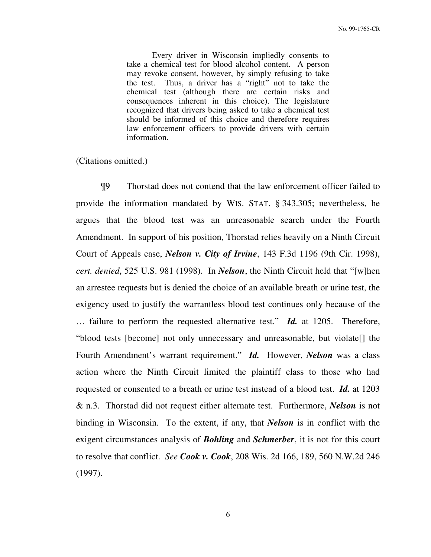Every driver in Wisconsin impliedly consents to take a chemical test for blood alcohol content. A person may revoke consent, however, by simply refusing to take the test. Thus, a driver has a "right" not to take the chemical test (although there are certain risks and consequences inherent in this choice). The legislature recognized that drivers being asked to take a chemical test should be informed of this choice and therefore requires law enforcement officers to provide drivers with certain information.

(Citations omitted.)

¶9 Thorstad does not contend that the law enforcement officer failed to provide the information mandated by WIS. STAT. § 343.305; nevertheless, he argues that the blood test was an unreasonable search under the Fourth Amendment. In support of his position, Thorstad relies heavily on a Ninth Circuit Court of Appeals case, *Nelson v. City of Irvine*, 143 F.3d 1196 (9th Cir. 1998), *cert. denied*, 525 U.S. 981 (1998). In *Nelson*, the Ninth Circuit held that "[w]hen an arrestee requests but is denied the choice of an available breath or urine test, the exigency used to justify the warrantless blood test continues only because of the … failure to perform the requested alternative test." *Id.* at 1205. Therefore, "blood tests [become] not only unnecessary and unreasonable, but violate[] the Fourth Amendment's warrant requirement." *Id.* However, *Nelson* was a class action where the Ninth Circuit limited the plaintiff class to those who had requested or consented to a breath or urine test instead of a blood test. *Id.* at 1203 & n.3. Thorstad did not request either alternate test. Furthermore, *Nelson* is not binding in Wisconsin. To the extent, if any, that *Nelson* is in conflict with the exigent circumstances analysis of *Bohling* and *Schmerber*, it is not for this court to resolve that conflict. *See Cook v. Cook*, 208 Wis. 2d 166, 189, 560 N.W.2d 246 (1997).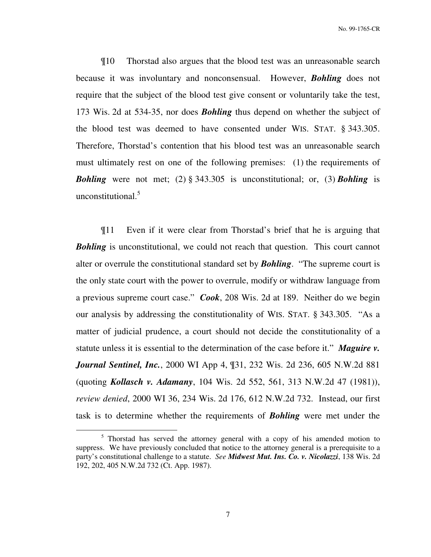¶10 Thorstad also argues that the blood test was an unreasonable search because it was involuntary and nonconsensual. However, *Bohling* does not require that the subject of the blood test give consent or voluntarily take the test, 173 Wis. 2d at 534-35, nor does *Bohling* thus depend on whether the subject of the blood test was deemed to have consented under WIS. STAT. § 343.305. Therefore, Thorstad's contention that his blood test was an unreasonable search must ultimately rest on one of the following premises: (1) the requirements of *Bohling* were not met; (2) § 343.305 is unconstitutional; or, (3) *Bohling* is unconstitutional.<sup>5</sup>

¶11 Even if it were clear from Thorstad's brief that he is arguing that *Bohling* is unconstitutional, we could not reach that question. This court cannot alter or overrule the constitutional standard set by *Bohling*. "The supreme court is the only state court with the power to overrule, modify or withdraw language from a previous supreme court case." *Cook*, 208 Wis. 2d at 189. Neither do we begin our analysis by addressing the constitutionality of WIS. STAT. § 343.305. "As a matter of judicial prudence, a court should not decide the constitutionality of a statute unless it is essential to the determination of the case before it." *Maguire v. Journal Sentinel, Inc.*, 2000 WI App 4, ¶31, 232 Wis. 2d 236, 605 N.W.2d 881 (quoting *Kollasch v. Adamany*, 104 Wis. 2d 552, 561, 313 N.W.2d 47 (1981)), *review denied*, 2000 WI 36, 234 Wis. 2d 176, 612 N.W.2d 732. Instead, our first task is to determine whether the requirements of *Bohling* were met under the

 $\overline{a}$ 

<sup>&</sup>lt;sup>5</sup> Thorstad has served the attorney general with a copy of his amended motion to suppress. We have previously concluded that notice to the attorney general is a prerequisite to a party's constitutional challenge to a statute. *See Midwest Mut. Ins. Co. v. Nicolazzi*, 138 Wis. 2d 192, 202, 405 N.W.2d 732 (Ct. App. 1987).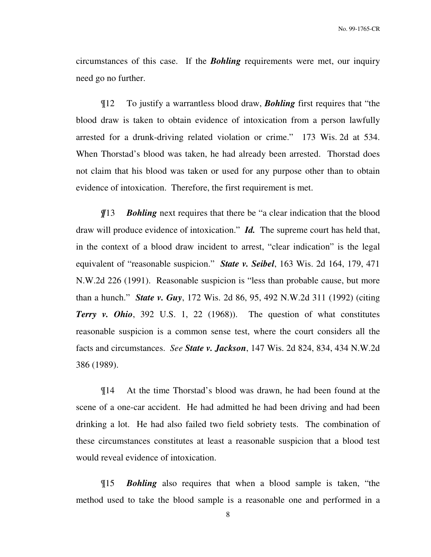circumstances of this case. If the *Bohling* requirements were met, our inquiry need go no further.

¶12 To justify a warrantless blood draw, *Bohling* first requires that "the blood draw is taken to obtain evidence of intoxication from a person lawfully arrested for a drunk-driving related violation or crime." 173 Wis. 2d at 534. When Thorstad's blood was taken, he had already been arrested. Thorstad does not claim that his blood was taken or used for any purpose other than to obtain evidence of intoxication. Therefore, the first requirement is met.

*¶*13 *Bohling* next requires that there be "a clear indication that the blood draw will produce evidence of intoxication." *Id.* The supreme court has held that, in the context of a blood draw incident to arrest, "clear indication" is the legal equivalent of "reasonable suspicion." *State v. Seibel*, 163 Wis. 2d 164, 179, 471 N.W.2d 226 (1991). Reasonable suspicion is "less than probable cause, but more than a hunch." *State v. Guy*, 172 Wis. 2d 86, 95, 492 N.W.2d 311 (1992) (citing *Terry v. Ohio*, 392 U.S. 1, 22 (1968)). The question of what constitutes reasonable suspicion is a common sense test, where the court considers all the facts and circumstances. *See State v. Jackson*, 147 Wis. 2d 824, 834, 434 N.W.2d 386 (1989).

¶14 At the time Thorstad's blood was drawn, he had been found at the scene of a one-car accident. He had admitted he had been driving and had been drinking a lot. He had also failed two field sobriety tests. The combination of these circumstances constitutes at least a reasonable suspicion that a blood test would reveal evidence of intoxication.

¶15 *Bohling* also requires that when a blood sample is taken, "the method used to take the blood sample is a reasonable one and performed in a